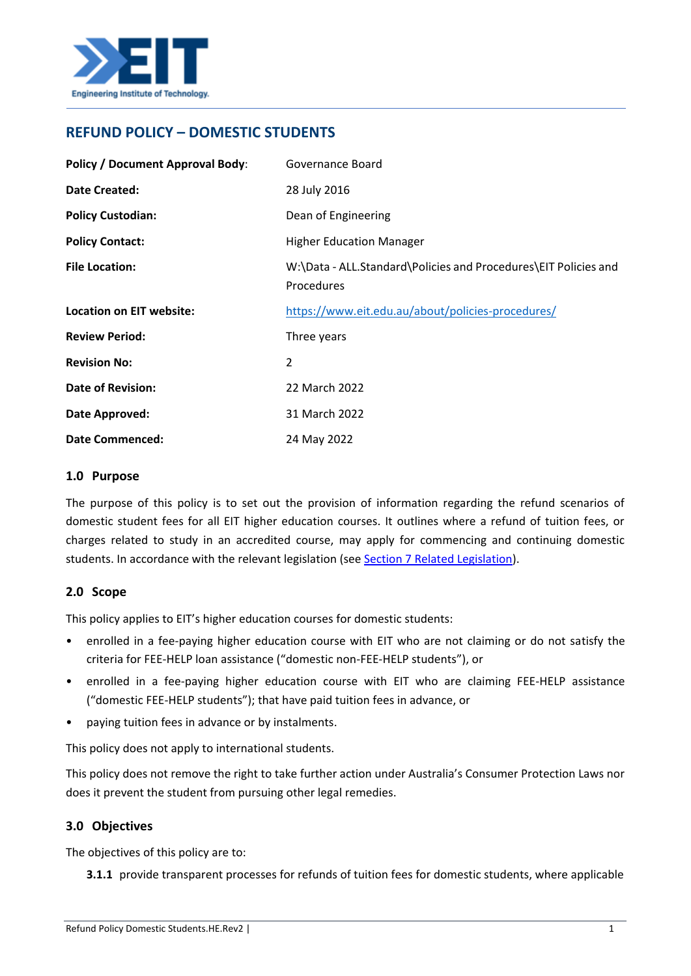

# **REFUND POLICY – DOMESTIC STUDENTS**

| <b>Policy / Document Approval Body:</b> | Governance Board                                                              |
|-----------------------------------------|-------------------------------------------------------------------------------|
| <b>Date Created:</b>                    | 28 July 2016                                                                  |
| <b>Policy Custodian:</b>                | Dean of Engineering                                                           |
| <b>Policy Contact:</b>                  | <b>Higher Education Manager</b>                                               |
| <b>File Location:</b>                   | W:\Data - ALL.Standard\Policies and Procedures\EIT Policies and<br>Procedures |
| <b>Location on EIT website:</b>         | https://www.eit.edu.au/about/policies-procedures/                             |
| <b>Review Period:</b>                   | Three years                                                                   |
| <b>Revision No:</b>                     | $\overline{2}$                                                                |
| <b>Date of Revision:</b>                | 22 March 2022                                                                 |
| Date Approved:                          | 31 March 2022                                                                 |
| <b>Date Commenced:</b>                  | 24 May 2022                                                                   |

### **1.0 Purpose**

The purpose of this policy is to set out the provision of information regarding the refund scenarios of domestic student fees for all EIT higher education courses. It outlines where a refund of tuition fees, or charges related to study in an accredited course, may apply for commencing and continuing domestic students. In accordance with the relevant legislation (see [Section 7 Related Legislation\)](#page-7-0).

# **2.0 Scope**

This policy applies to EIT's higher education courses for domestic students:

- enrolled in a fee-paying higher education course with EIT who are not claiming or do not satisfy the criteria for FEE-HELP loan assistance ("domestic non-FEE-HELP students"), or
- enrolled in a fee-paying higher education course with EIT who are claiming FEE-HELP assistance ("domestic FEE-HELP students"); that have paid tuition fees in advance, or
- paying tuition fees in advance or by instalments.

This policy does not apply to international students.

This policy does not remove the right to take further action under Australia's Consumer Protection Laws nor does it prevent the student from pursuing other legal remedies.

# **3.0 Objectives**

The objectives of this policy are to:

**3.1.1** provide transparent processes for refunds of tuition fees for domestic students, where applicable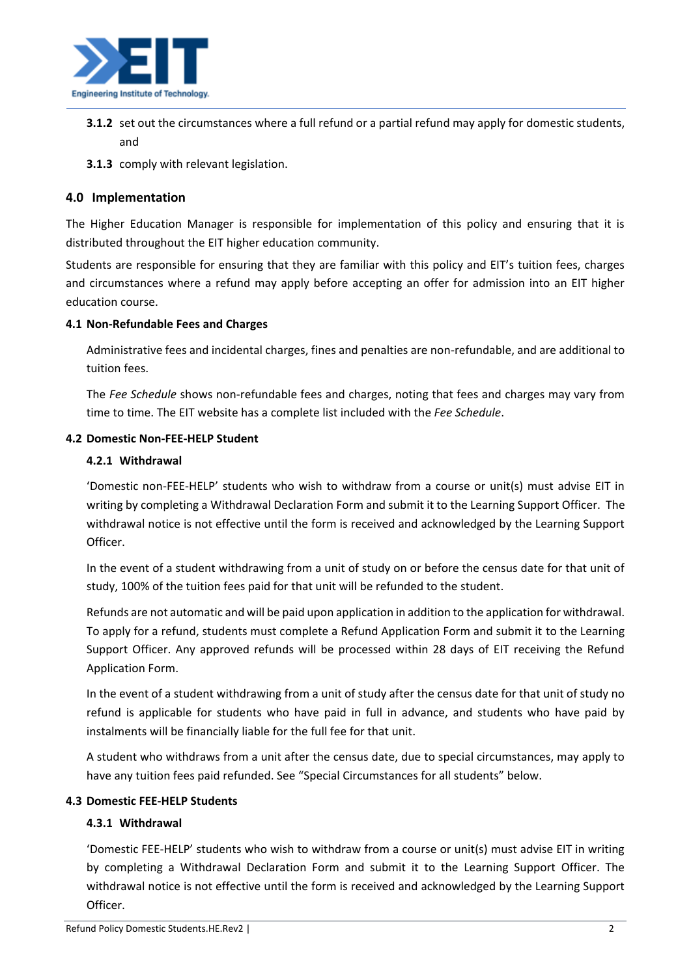

- **3.1.2** set out the circumstances where a full refund or a partial refund may apply for domestic students, and
- **3.1.3** comply with relevant legislation.

# **4.0 Implementation**

The Higher Education Manager is responsible for implementation of this policy and ensuring that it is distributed throughout the EIT higher education community.

Students are responsible for ensuring that they are familiar with this policy and EIT's tuition fees, charges and circumstances where a refund may apply before accepting an offer for admission into an EIT higher education course.

### **4.1 Non-Refundable Fees and Charges**

Administrative fees and incidental charges, fines and penalties are non-refundable, and are additional to tuition fees.

The *Fee Schedule* shows non-refundable fees and charges, noting that fees and charges may vary from time to time. The EIT website has a complete list included with the *Fee Schedule*.

# **4.2 Domestic Non-FEE-HELP Student**

### **4.2.1 Withdrawal**

'Domestic non-FEE-HELP' students who wish to withdraw from a course or unit(s) must advise EIT in writing by completing a Withdrawal Declaration Form and submit it to the Learning Support Officer. The withdrawal notice is not effective until the form is received and acknowledged by the Learning Support Officer.

In the event of a student withdrawing from a unit of study on or before the census date for that unit of study, 100% of the tuition fees paid for that unit will be refunded to the student.

Refunds are not automatic and will be paid upon application in addition to the application for withdrawal. To apply for a refund, students must complete a Refund Application Form and submit it to the Learning Support Officer. Any approved refunds will be processed within 28 days of EIT receiving the Refund Application Form.

In the event of a student withdrawing from a unit of study after the census date for that unit of study no refund is applicable for students who have paid in full in advance, and students who have paid by instalments will be financially liable for the full fee for that unit.

A student who withdraws from a unit after the census date, due to special circumstances, may apply to have any tuition fees paid refunded. See "Special Circumstances for all students" below.

# **4.3 Domestic FEE-HELP Students**

# **4.3.1 Withdrawal**

'Domestic FEE-HELP' students who wish to withdraw from a course or unit(s) must advise EIT in writing by completing a Withdrawal Declaration Form and submit it to the Learning Support Officer. The withdrawal notice is not effective until the form is received and acknowledged by the Learning Support Officer.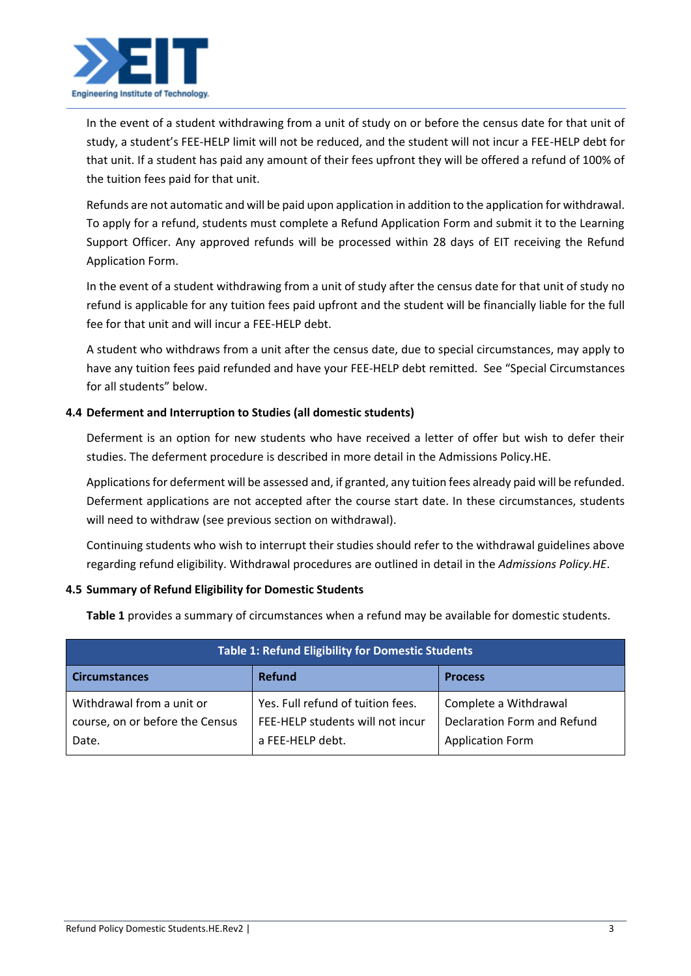

In the event of a student withdrawing from a unit of study on or before the census date for that unit of study, a student's FEE-HELP limit will not be reduced, and the student will not incur a FEE-HELP debt for that unit. If a student has paid any amount of their fees upfront they will be offered a refund of 100% of the tuition fees paid for that unit.

Refunds are not automatic and will be paid upon application in addition to the application for withdrawal. To apply for a refund, students must complete a Refund Application Form and submit it to the Learning Support Officer. Any approved refunds will be processed within 28 days of EIT receiving the Refund Application Form.

In the event of a student withdrawing from a unit of study after the census date for that unit of study no refund is applicable for any tuition fees paid upfront and the student will be financially liable for the full fee for that unit and will incur a FEE-HELP debt.

A student who withdraws from a unit after the census date, due to special circumstances, may apply to have any tuition fees paid refunded and have your FEE-HELP debt remitted. See "Special Circumstances for all students" below.

# **4.4 Deferment and Interruption to Studies (all domestic students)**

Deferment is an option for new students who have received a letter of offer but wish to defer their studies. The deferment procedure is described in more detail in the Admissions Policy.HE.

Applications for deferment will be assessed and, if granted, any tuition fees already paid will be refunded. Deferment applications are not accepted after the course start date. In these circumstances, students will need to withdraw (see previous section on withdrawal).

Continuing students who wish to interrupt their studies should refer to the withdrawal guidelines above regarding refund eligibility. Withdrawal procedures are outlined in detail in the *Admissions Policy.HE*.

# **4.5 Summary of Refund Eligibility for Domestic Students**

**Table 1** provides a summary of circumstances when a refund may be available for domestic students.

| <b>Table 1: Refund Eligibility for Domestic Students</b>              |                                                                                           |                                                                                 |  |
|-----------------------------------------------------------------------|-------------------------------------------------------------------------------------------|---------------------------------------------------------------------------------|--|
| <b>Circumstances</b>                                                  | <b>Refund</b>                                                                             | <b>Process</b>                                                                  |  |
| Withdrawal from a unit or<br>course, on or before the Census<br>Date. | Yes. Full refund of tuition fees.<br>FEE-HELP students will not incur<br>a FEE-HELP debt. | Complete a Withdrawal<br>Declaration Form and Refund<br><b>Application Form</b> |  |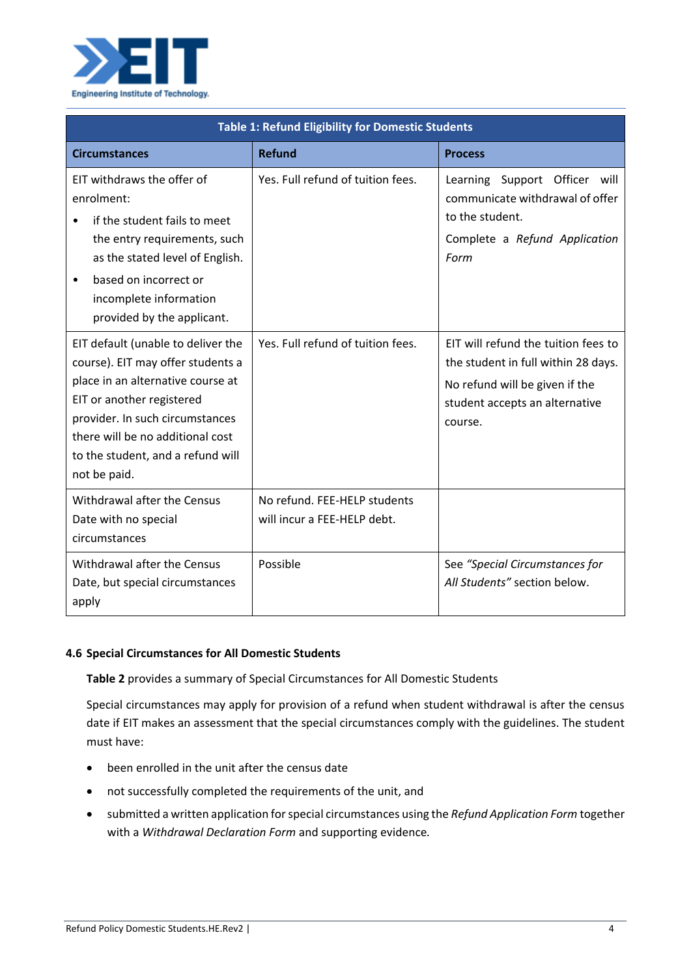

| <b>Table 1: Refund Eligibility for Domestic Students</b>                                                                                                                                                                                                              |                                                             |                                                                                                                                                           |  |  |
|-----------------------------------------------------------------------------------------------------------------------------------------------------------------------------------------------------------------------------------------------------------------------|-------------------------------------------------------------|-----------------------------------------------------------------------------------------------------------------------------------------------------------|--|--|
| <b>Circumstances</b>                                                                                                                                                                                                                                                  | <b>Refund</b>                                               | <b>Process</b>                                                                                                                                            |  |  |
| EIT withdraws the offer of<br>enrolment:<br>if the student fails to meet<br>the entry requirements, such<br>as the stated level of English.<br>based on incorrect or<br>$\bullet$<br>incomplete information<br>provided by the applicant.                             | Yes. Full refund of tuition fees.                           | Learning Support Officer will<br>communicate withdrawal of offer<br>to the student.<br>Complete a Refund Application<br>Form                              |  |  |
| EIT default (unable to deliver the<br>course). EIT may offer students a<br>place in an alternative course at<br>EIT or another registered<br>provider. In such circumstances<br>there will be no additional cost<br>to the student, and a refund will<br>not be paid. | Yes. Full refund of tuition fees.                           | EIT will refund the tuition fees to<br>the student in full within 28 days.<br>No refund will be given if the<br>student accepts an alternative<br>course. |  |  |
| Withdrawal after the Census<br>Date with no special<br>circumstances                                                                                                                                                                                                  | No refund. FEE-HELP students<br>will incur a FEE-HELP debt. |                                                                                                                                                           |  |  |
| Withdrawal after the Census<br>Date, but special circumstances<br>apply                                                                                                                                                                                               | Possible                                                    | See "Special Circumstances for<br>All Students" section below.                                                                                            |  |  |

# **4.6 Special Circumstances for All Domestic Students**

**Table 2** provides a summary of Special Circumstances for All Domestic Students

Special circumstances may apply for provision of a refund when student withdrawal is after the census date if EIT makes an assessment that the special circumstances comply with the guidelines. The student must have:

- been enrolled in the unit after the census date
- not successfully completed the requirements of the unit, and
- submitted a written application for special circumstances using the *Refund Application Form* together with a *Withdrawal Declaration Form* and supporting evidence*.*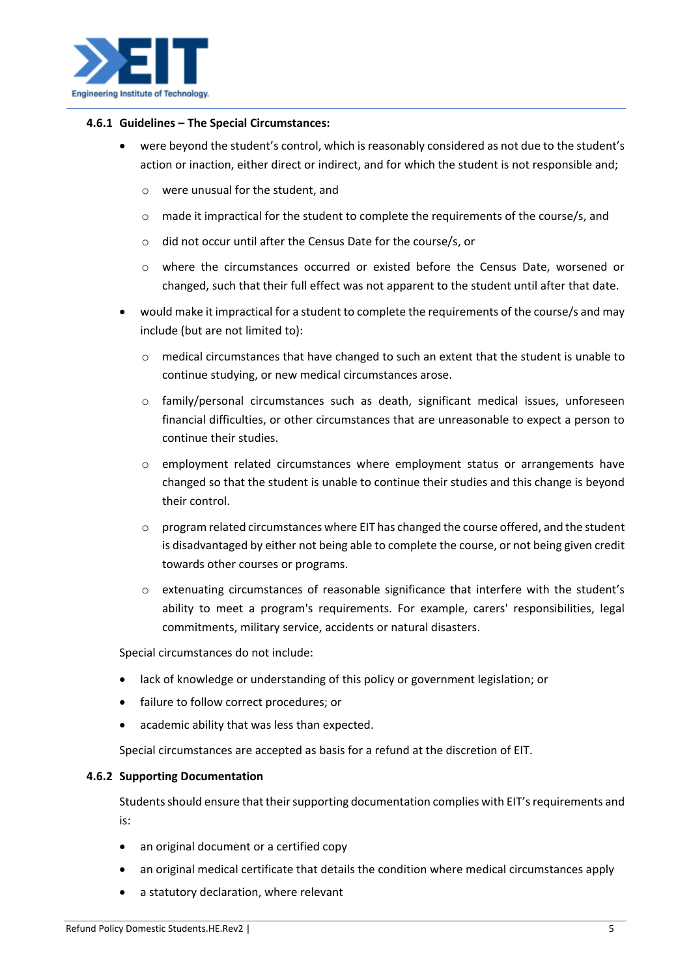

#### **4.6.1 Guidelines – The Special Circumstances:**

- were beyond the student's control, which is reasonably considered as not due to the student's action or inaction, either direct or indirect, and for which the student is not responsible and;
	- o were unusual for the student, and
	- $\circ$  made it impractical for the student to complete the requirements of the course/s, and
	- o did not occur until after the Census Date for the course/s, or
	- o where the circumstances occurred or existed before the Census Date, worsened or changed, such that their full effect was not apparent to the student until after that date.
- would make it impractical for a student to complete the requirements of the course/s and may include (but are not limited to):
	- $\circ$  medical circumstances that have changed to such an extent that the student is unable to continue studying, or new medical circumstances arose.
	- o family/personal circumstances such as death, significant medical issues, unforeseen financial difficulties, or other circumstances that are unreasonable to expect a person to continue their studies.
	- o employment related circumstances where employment status or arrangements have changed so that the student is unable to continue their studies and this change is beyond their control.
	- $\circ$  program related circumstances where EIT has changed the course offered, and the student is disadvantaged by either not being able to complete the course, or not being given credit towards other courses or programs.
	- o extenuating circumstances of reasonable significance that interfere with the student's ability to meet a program's requirements. For example, carers' responsibilities, legal commitments, military service, accidents or natural disasters.

Special circumstances do not include:

- lack of knowledge or understanding of this policy or government legislation; or
- failure to follow correct procedures; or
- academic ability that was less than expected.

Special circumstances are accepted as basis for a refund at the discretion of EIT.

#### **4.6.2 Supporting Documentation**

Students should ensure that their supporting documentation complies with EIT's requirements and is:

- an original document or a certified copy
- an original medical certificate that details the condition where medical circumstances apply
- a statutory declaration, where relevant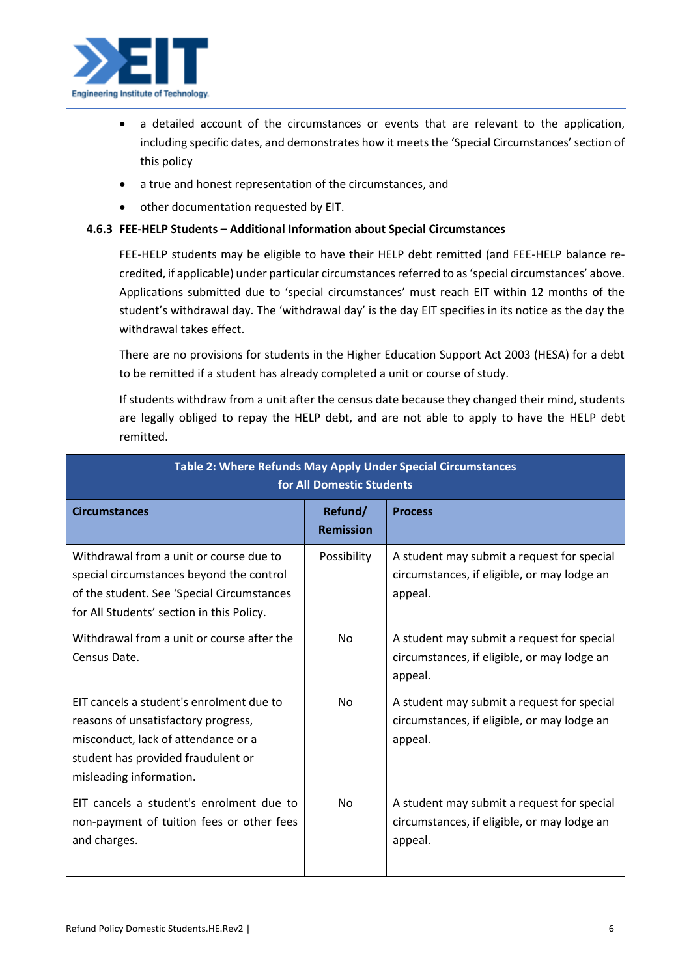

- a detailed account of the circumstances or events that are relevant to the application, including specific dates, and demonstrates how it meets the 'Special Circumstances' section of this policy
- a true and honest representation of the circumstances, and
- other documentation requested by EIT.

# **4.6.3 FEE-HELP Students – Additional Information about Special Circumstances**

FEE-HELP students may be eligible to have their HELP debt remitted (and FEE-HELP balance recredited, if applicable) under particular circumstances referred to as 'special circumstances' above. Applications submitted due to 'special circumstances' must reach EIT within 12 months of the student's withdrawal day. The 'withdrawal day' is the day EIT specifies in its notice as the day the withdrawal takes effect.

There are no provisions for students in the Higher Education Support Act 2003 (HESA) for a debt to be remitted if a student has already completed a unit or course of study.

If students withdraw from a unit after the census date because they changed their mind, students are legally obliged to repay the HELP debt, and are not able to apply to have the HELP debt remitted.

| Table 2: Where Refunds May Apply Under Special Circumstances<br>for All Domestic Students                                                                                               |                             |                                                                                                      |  |  |
|-----------------------------------------------------------------------------------------------------------------------------------------------------------------------------------------|-----------------------------|------------------------------------------------------------------------------------------------------|--|--|
| <b>Circumstances</b>                                                                                                                                                                    | Refund/<br><b>Remission</b> | <b>Process</b>                                                                                       |  |  |
| Withdrawal from a unit or course due to<br>special circumstances beyond the control<br>of the student. See 'Special Circumstances<br>for All Students' section in this Policy.          | Possibility                 | A student may submit a request for special<br>circumstances, if eligible, or may lodge an<br>appeal. |  |  |
| Withdrawal from a unit or course after the<br>Census Date.                                                                                                                              | No.                         | A student may submit a request for special<br>circumstances, if eligible, or may lodge an<br>appeal. |  |  |
| EIT cancels a student's enrolment due to<br>reasons of unsatisfactory progress,<br>misconduct, lack of attendance or a<br>student has provided fraudulent or<br>misleading information. | No.                         | A student may submit a request for special<br>circumstances, if eligible, or may lodge an<br>appeal. |  |  |
| EIT cancels a student's enrolment due to<br>non-payment of tuition fees or other fees<br>and charges.                                                                                   | No                          | A student may submit a request for special<br>circumstances, if eligible, or may lodge an<br>appeal. |  |  |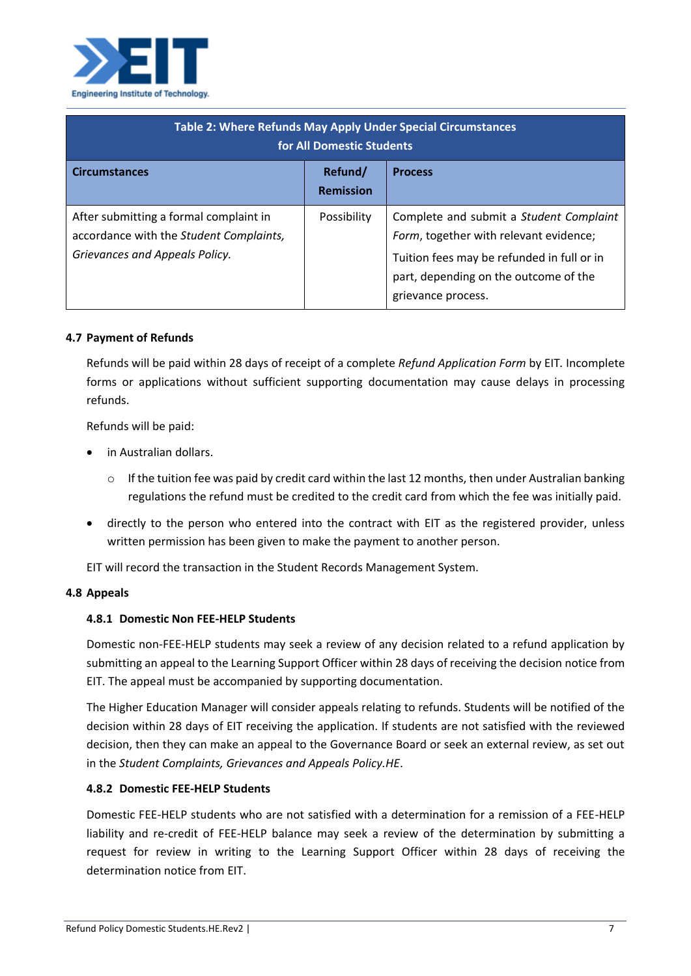

| Table 2: Where Refunds May Apply Under Special Circumstances<br>for All Domestic Students                           |                             |                                                                                                                                                                                                |  |  |
|---------------------------------------------------------------------------------------------------------------------|-----------------------------|------------------------------------------------------------------------------------------------------------------------------------------------------------------------------------------------|--|--|
| <b>Circumstances</b>                                                                                                | Refund/<br><b>Remission</b> | <b>Process</b>                                                                                                                                                                                 |  |  |
| After submitting a formal complaint in<br>accordance with the Student Complaints,<br>Grievances and Appeals Policy. | Possibility                 | Complete and submit a Student Complaint<br>Form, together with relevant evidence;<br>Tuition fees may be refunded in full or in<br>part, depending on the outcome of the<br>grievance process. |  |  |

### **4.7 Payment of Refunds**

Refunds will be paid within 28 days of receipt of a complete *Refund Application Form* by EIT*.* Incomplete forms or applications without sufficient supporting documentation may cause delays in processing refunds.

Refunds will be paid:

- in Australian dollars.
	- $\circ$  If the tuition fee was paid by credit card within the last 12 months, then under Australian banking regulations the refund must be credited to the credit card from which the fee was initially paid.
- directly to the person who entered into the contract with EIT as the registered provider, unless written permission has been given to make the payment to another person.

EIT will record the transaction in the Student Records Management System.

#### **4.8 Appeals**

#### **4.8.1 Domestic Non FEE-HELP Students**

Domestic non-FEE-HELP students may seek a review of any decision related to a refund application by submitting an appeal to the Learning Support Officer within 28 days of receiving the decision notice from EIT. The appeal must be accompanied by supporting documentation.

The Higher Education Manager will consider appeals relating to refunds. Students will be notified of the decision within 28 days of EIT receiving the application. If students are not satisfied with the reviewed decision, then they can make an appeal to the Governance Board or seek an external review, as set out in the *Student Complaints, Grievances and Appeals Policy.HE*.

#### **4.8.2 Domestic FEE-HELP Students**

Domestic FEE-HELP students who are not satisfied with a determination for a remission of a FEE-HELP liability and re-credit of FEE-HELP balance may seek a review of the determination by submitting a request for review in writing to the Learning Support Officer within 28 days of receiving the determination notice from EIT.